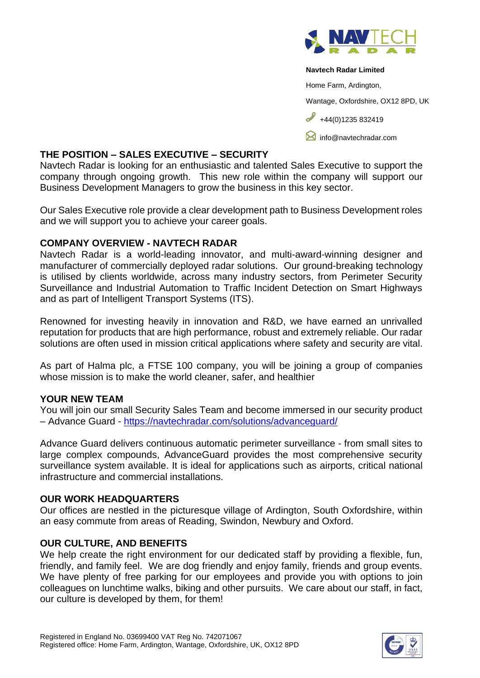

#### **Navtech Radar Limited**

Home Farm, Ardington,

Wantage, Oxfordshire, OX12 8PD, UK

 $+44(0)1235832419$ 

**M** [info@navtechradar.com](mailto:info@navtechradar.com)

## **THE POSITION – SALES EXECUTIVE – SECURITY**

Navtech Radar is looking for an enthusiastic and talented Sales Executive to support the company through ongoing growth. This new role within the company will support our Business Development Managers to grow the business in this key sector.

Our Sales Executive role provide a clear development path to Business Development roles and we will support you to achieve your career goals.

## **COMPANY OVERVIEW - NAVTECH RADAR**

Navtech Radar is a world-leading innovator, and multi-award-winning designer and manufacturer of commercially deployed radar solutions. Our ground-breaking technology is utilised by clients worldwide, across many industry sectors, from Perimeter Security Surveillance and Industrial Automation to Traffic Incident Detection on Smart Highways and as part of Intelligent Transport Systems (ITS).

Renowned for investing heavily in innovation and R&D, we have earned an unrivalled reputation for products that are high performance, robust and extremely reliable. Our radar solutions are often used in mission critical applications where safety and security are vital.

As part of Halma plc, a FTSE 100 company, you will be joining a group of companies whose mission is to make the world cleaner, safer, and healthier

# **YOUR NEW TEAM**

You will join our small Security Sales Team and become immersed in our security product – Advance Guard - <https://navtechradar.com/solutions/advanceguard/>

Advance Guard delivers continuous automatic perimeter surveillance - from small sites to large complex compounds, AdvanceGuard provides the most comprehensive security surveillance system available. It is ideal for applications such as airports, critical national infrastructure and commercial installations.

# **OUR WORK HEADQUARTERS**

Our offices are nestled in the picturesque village of Ardington, South Oxfordshire, within an easy commute from areas of Reading, Swindon, Newbury and Oxford.

### **OUR CULTURE, AND BENEFITS**

We help create the right environment for our dedicated staff by providing a flexible, fun, friendly, and family feel. We are dog friendly and enjoy family, friends and group events. We have plenty of free parking for our employees and provide you with options to join colleagues on lunchtime walks, biking and other pursuits. We care about our staff, in fact, our culture is developed by them, for them!

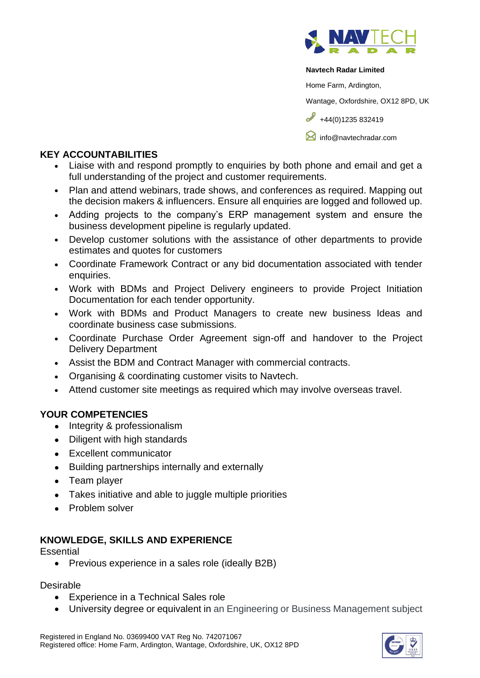

#### **Navtech Radar Limited**

Home Farm, Ardington,

Wantage, Oxfordshire, OX12 8PD, UK

 $\frac{1}{144(0)1235832419}$ 

**[info@navtechradar.com](mailto:info@navtechradar.com)** 

# **KEY ACCOUNTABILITIES**

- Liaise with and respond promptly to enquiries by both phone and email and get a full understanding of the project and customer requirements.
- Plan and attend webinars, trade shows, and conferences as required. Mapping out the decision makers & influencers. Ensure all enquiries are logged and followed up.
- Adding projects to the company's ERP management system and ensure the business development pipeline is regularly updated.
- Develop customer solutions with the assistance of other departments to provide estimates and quotes for customers
- Coordinate Framework Contract or any bid documentation associated with tender enquiries.
- Work with BDMs and Project Delivery engineers to provide Project Initiation Documentation for each tender opportunity.
- Work with BDMs and Product Managers to create new business Ideas and coordinate business case submissions.
- Coordinate Purchase Order Agreement sign-off and handover to the Project Delivery Department
- Assist the BDM and Contract Manager with commercial contracts.
- Organising & coordinating customer visits to Navtech.
- Attend customer site meetings as required which may involve overseas travel.

# **YOUR COMPETENCIES**

- Integrity & professionalism
- Diligent with high standards
- Excellent communicator
- Building partnerships internally and externally
- Team player
- Takes initiative and able to juggle multiple priorities
- Problem solver

# **KNOWLEDGE, SKILLS AND EXPERIENCE**

**Essential** 

• Previous experience in a sales role (ideally B2B)

Desirable

- Experience in a Technical Sales role
- University degree or equivalent in an Engineering or Business Management subject